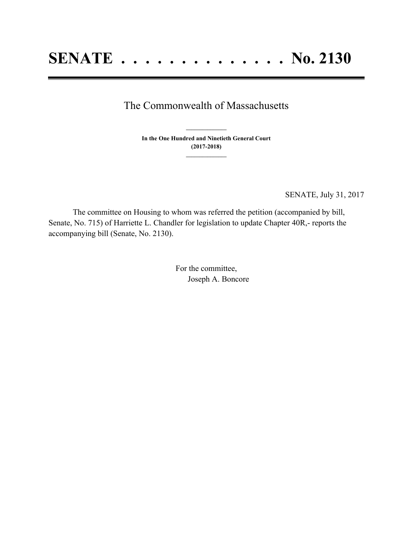## The Commonwealth of Massachusetts

**In the One Hundred and Ninetieth General Court (2017-2018) \_\_\_\_\_\_\_\_\_\_\_\_\_\_\_**

**\_\_\_\_\_\_\_\_\_\_\_\_\_\_\_**

SENATE, July 31, 2017

The committee on Housing to whom was referred the petition (accompanied by bill, Senate, No. 715) of Harriette L. Chandler for legislation to update Chapter 40R,- reports the accompanying bill (Senate, No. 2130).

> For the committee, Joseph A. Boncore